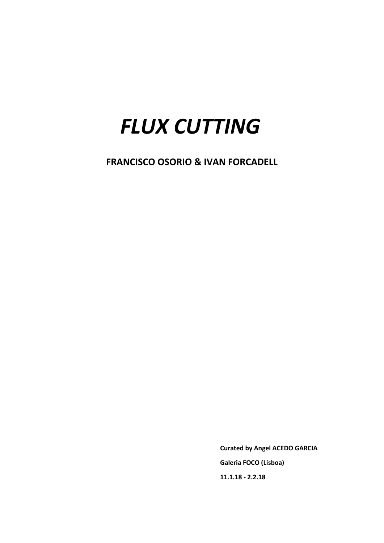# *FLUX CUTTING*

**FRANCISCO OSORIO & IVAN FORCADELL**

 **Curated by Angel ACEDO GARCIA Galeria FOCO (Lisboa) 11.1.18 - 2.2.18**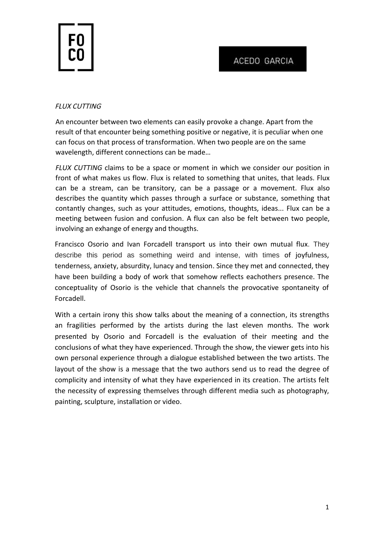

## FLUX CUTTING

An encounter between two elements can easily provoke a change. Apart from the result of that encounter being something positive or negative, it is peculiar when one can focus on that process of transformation. When two people are on the same wavelength, different connections can be made…

*FLUX CUTTING* claims to be a space or moment in which we consider our position in front of what makes us flow. Flux is related to something that unites, that leads. Flux can be a stream, can be transitory, can be a passage or a movement. Flux also describes the quantity which passes through a surface or substance, something that contantly changes, such as your attitudes, emotions, thoughts, ideas... Flux can be a meeting between fusion and confusion. A flux can also be felt between two people, involving an exhange of energy and thougths.

Francisco Osorio and Ivan Forcadell transport us into their own mutual flux. They describe this period as something weird and intense, with times of joyfulness, tenderness, anxiety, absurdity, lunacy and tension. Since they met and connected, they have been building a body of work that somehow reflects eachothers presence. The conceptuality of Osorio is the vehicle that channels the provocative spontaneity of Forcadell.

With a certain irony this show talks about the meaning of a connection, its strengths an fragilities performed by the artists during the last eleven months. The work presented by Osorio and Forcadell is the evaluation of their meeting and the conclusions of what they have experienced. Through the show, the viewer gets into his own personal experience through a dialogue established between the two artists. The layout of the show is a message that the two authors send us to read the degree of complicity and intensity of what they have experienced in its creation. The artists felt the necessity of expressing themselves through different media such as photography, painting, sculpture, installation or video.